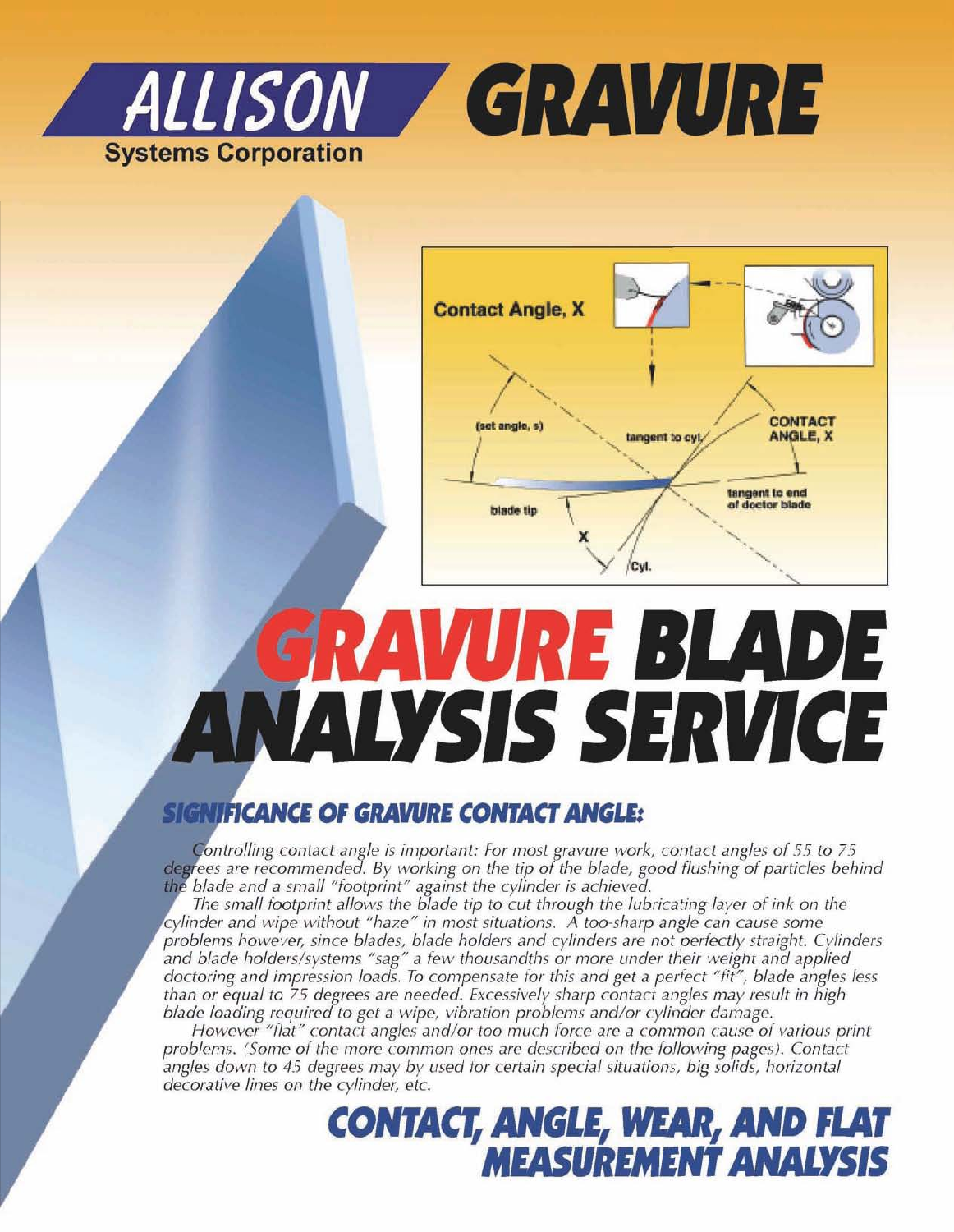



# GRAVURE BLADE **ANALYSIS SERVICE**

#### **SIGNIFICANCE OF GRAVURE CONTACT ANGLE:**

Controlling contact angle is important: For most gravure work, contact angles of 55 to 75 *degrees* are *recommended.* By working on the tip of the blade, good flushing of particles behind *t blade and a 5111,111 "footprint" against the cylinder is achieved.*

*The small footprint allows the blede tip to cut through the lubricating isvor of ink* on *the cylinder and wipe without "haze" in most situations. A too-sharp angle can cause some problems however, since bledes, blede holders and cylinders are not periectlv straight. Cylinders and blade holders/systems "seg" a fEW thousandth s* or more *under their weight and applied doctoring and impression tosds. To compensate* for *this and get* a *perfect "fir", blade angles less than or equal* ro 75 *degrees are needed. Excessively sharp contact angles may result* in *high blade loading required to get a Wipe, vibration problems andlor cylinder damage.*

*However* "*flat*" *contact angles and/or too much force are a common cause of various print problems. (Some o f the more common ones are described* on *the following pages!. Contact angles down* to 45 *degrees may by used for certain special situations, big solids, horizontal decorative lines* on *the cylinder, etc.*

### **CONTACT, ANGLE, WEAR, AND FLAT MEASUREMENTANALYSIS**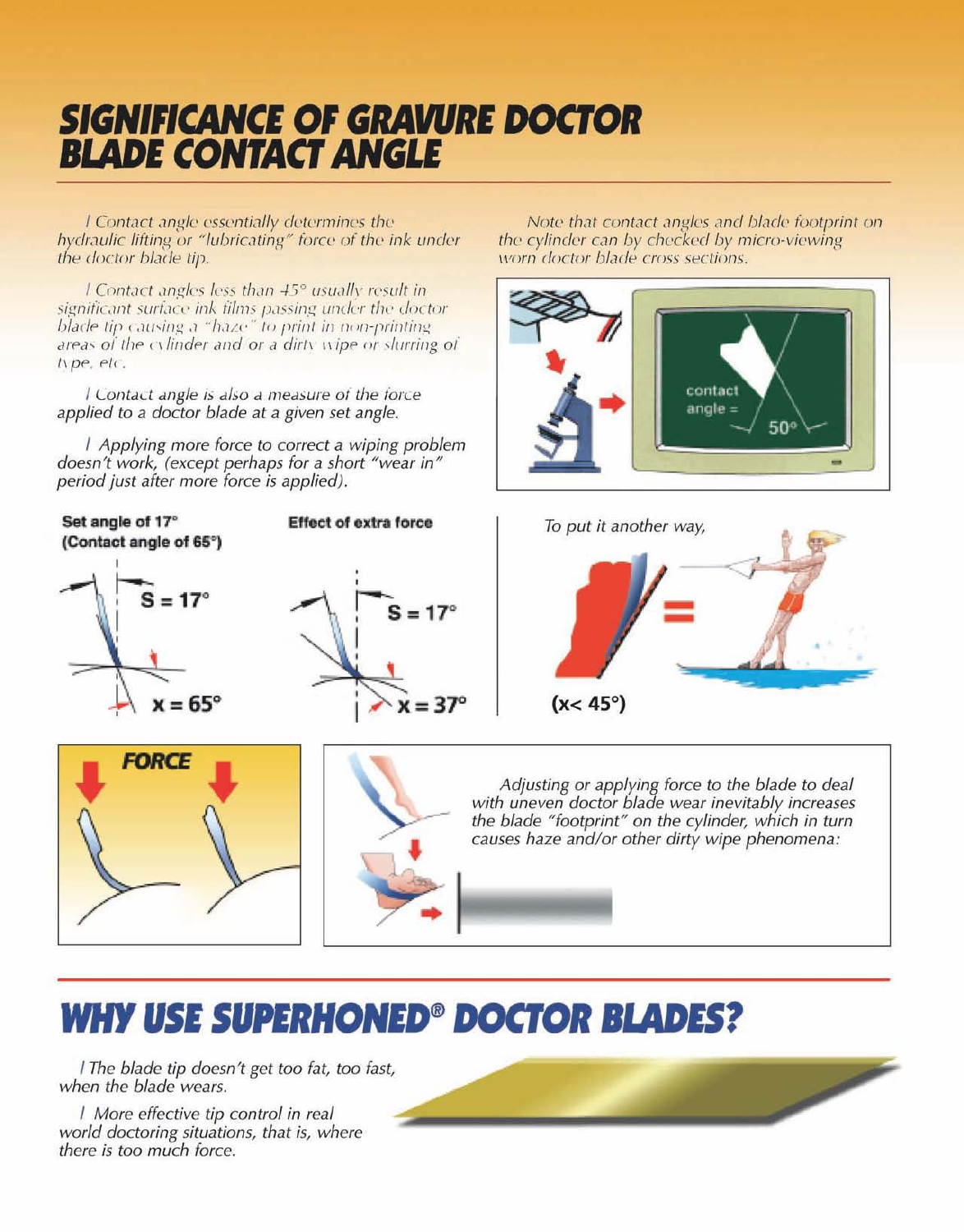## **SIGNIFICANCE OF GRAVURE DOCTOR BLADE CONTACT ANGLE**

I Contact angle essentially determines the hydraulic lifting or "lubricating" force of the ink under the doctor blade tip.

I Contact angles less than 45° usually result in significant surface ink films passing under the doctor blade tip causing a "haze" to print in non-printing areas of the cylinder and or a dirty wipe or slurring of type, etc.

l Contact angle is also a measure of the force applied to a doctor blade at a given set angle.

| Applying more force to correct a wiping problem doesn't work, (except perhaps for a short "wear in" period just after more force is applied).

Set angle of 17° **Effect of extra force** (Contact angle of 65°)  $= 17^\circ$  $S = 17^\circ$  $x = 65^\circ$  $=37^{\circ}$ **FORCE** 

Note that contact angles and blade footprint on the cylinder can by checked by micro-viewing worn doctor blade cross sections.





Adjusting or applying force to the blade to deal with uneven doctor blade wear inevitably increases the blade "footprint" on the cylinder, which in turn causes haze and/or other dirty wipe phenomena:

## **WHY USE SUPERHONED<sup>®</sup> DOCTOR BLADES?**

The blade tip doesn't get too fat, too fast, when the blade wears.

/ More effective tip control in real world doctoring situations, that is, where there is too much force.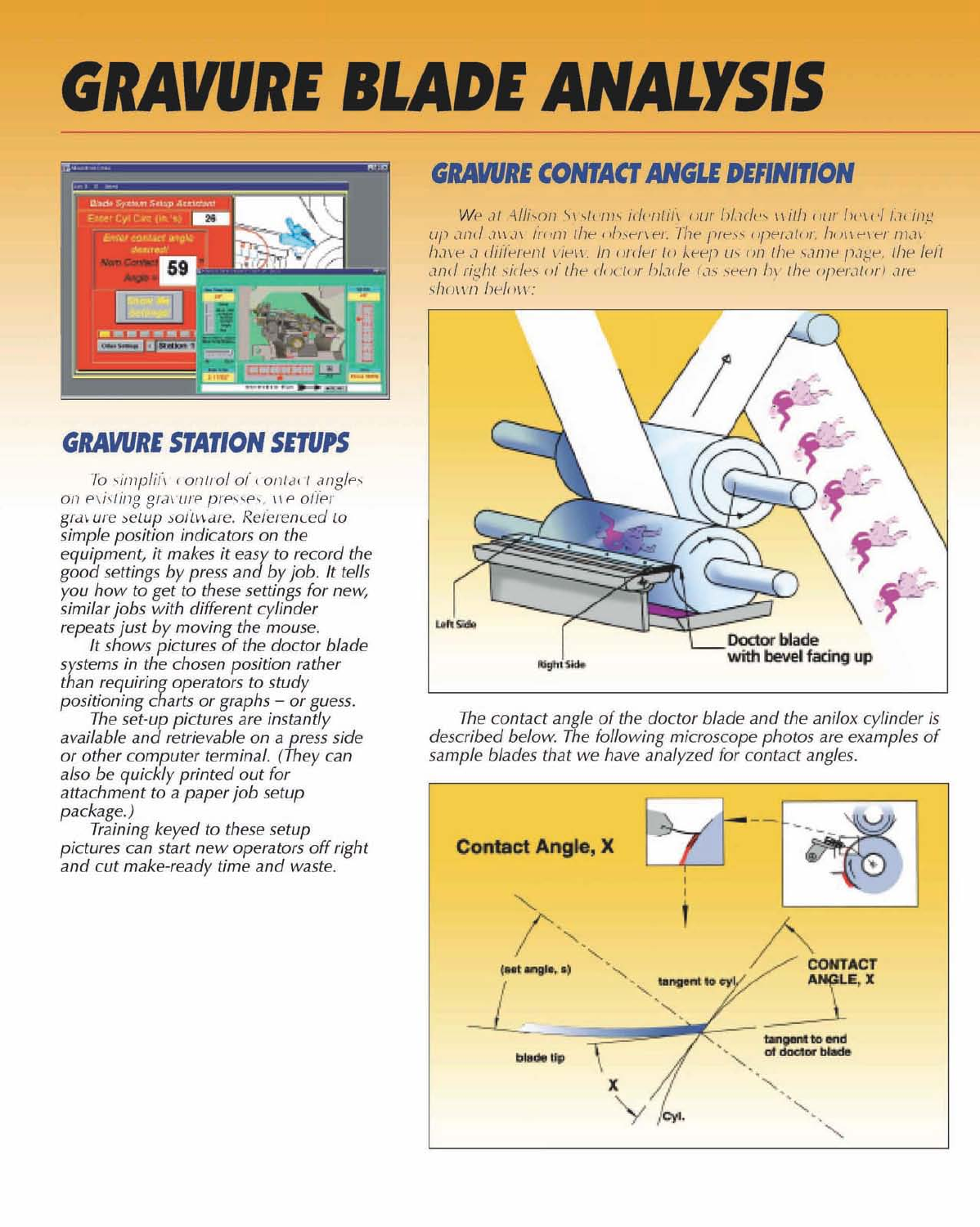## **GRAVURE BLADE ANALYSIS**



#### **GRAVURE STATION SETUPS**

To simplify control of contact angles on evisting gravure presses, we offer gravure setup soitware. Referenced to simple position indicators on the equipment, it makes it easy to record the good settings by press and by job. It tells<br>you how to get to these settings for new, similar jobs with different cylinder repeats just by moving the mouse.

It shows pictures of the doctor blade systems in the chosen position rather than requiring operators to study positioning charts or graphs - or guess.

The set-up pictures are instantly<br>available and retrievable on a press side or other computer terminal. (They can also be quickly printed out for attachment to a paper job setup package.)

Training keyed to these setup pictures can start new operators off right and cut make-ready time and waste.

#### **GRAVURE CONTACT ANGLE DEFINITION**

We at Allison Systems identify our blades with our bevel facing up and away from the observer. The press operator, however may have a different view. In order to keep us on the same page, the left and right sides of the doctor blade (as seen by the operator) are shown below:



The contact angle of the doctor blade and the anilox cylinder is described below. The following microscope photos are examples of sample blades that we have analyzed for contact angles.

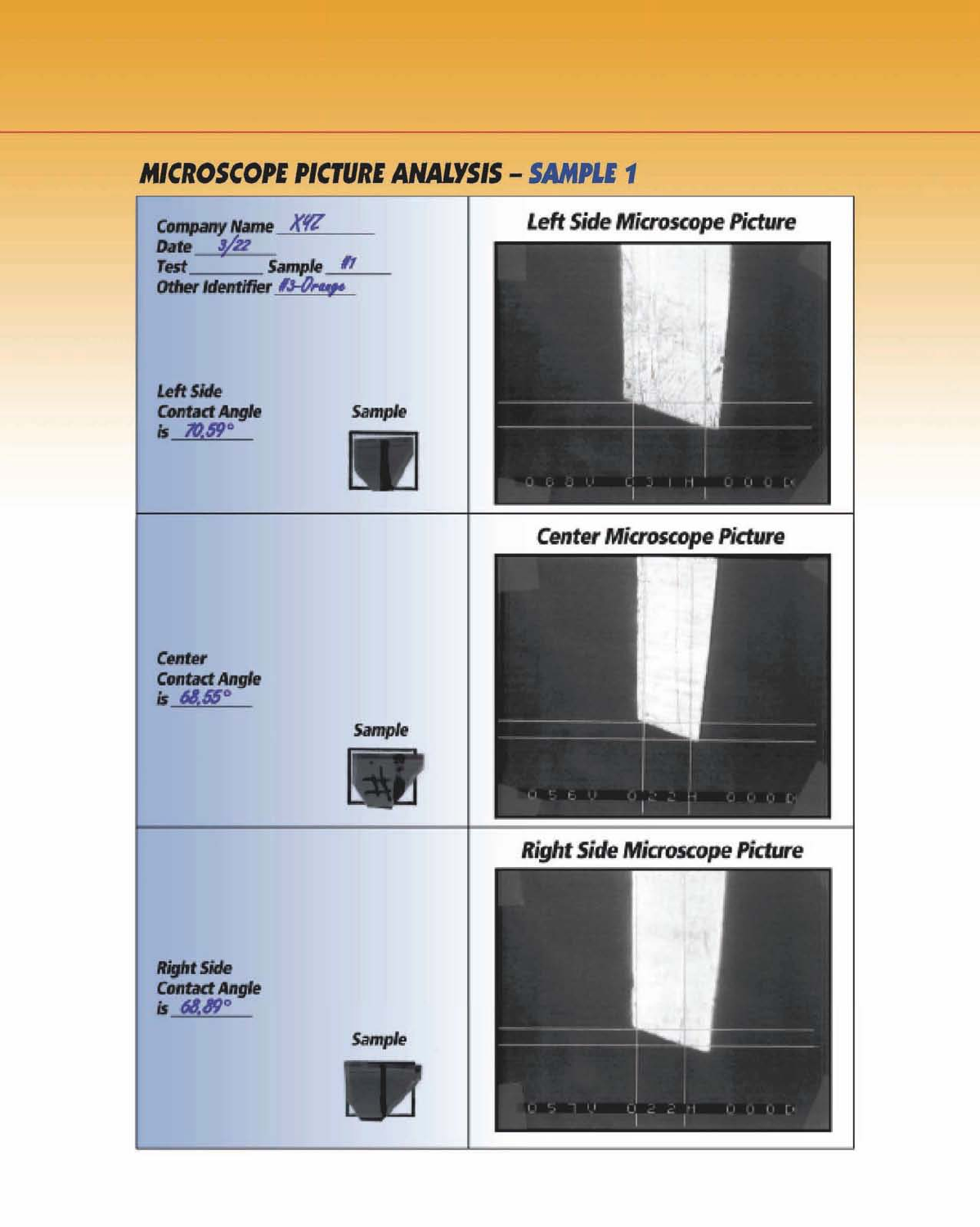#### **MICROSCOPE PICTURE ANALYSIS - SAMPLE 1**

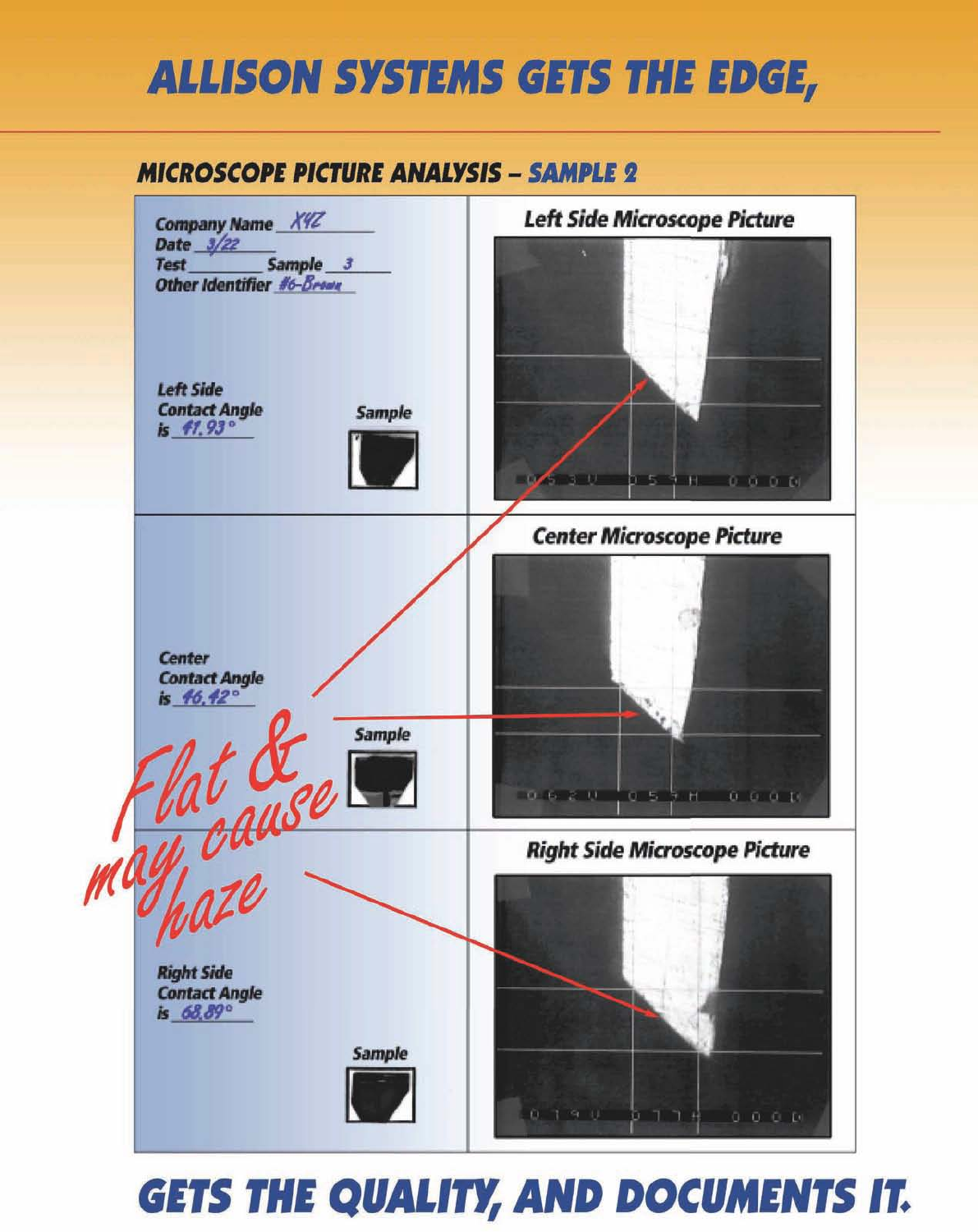## **ALLISON SYSTEMS GETS THE EDGE,**

#### **MICROSCOPE PICTURE ANALYSIS - SAMPLE 2**



## **GETS THE QUALITY, AND DOCUMENTS IT.**